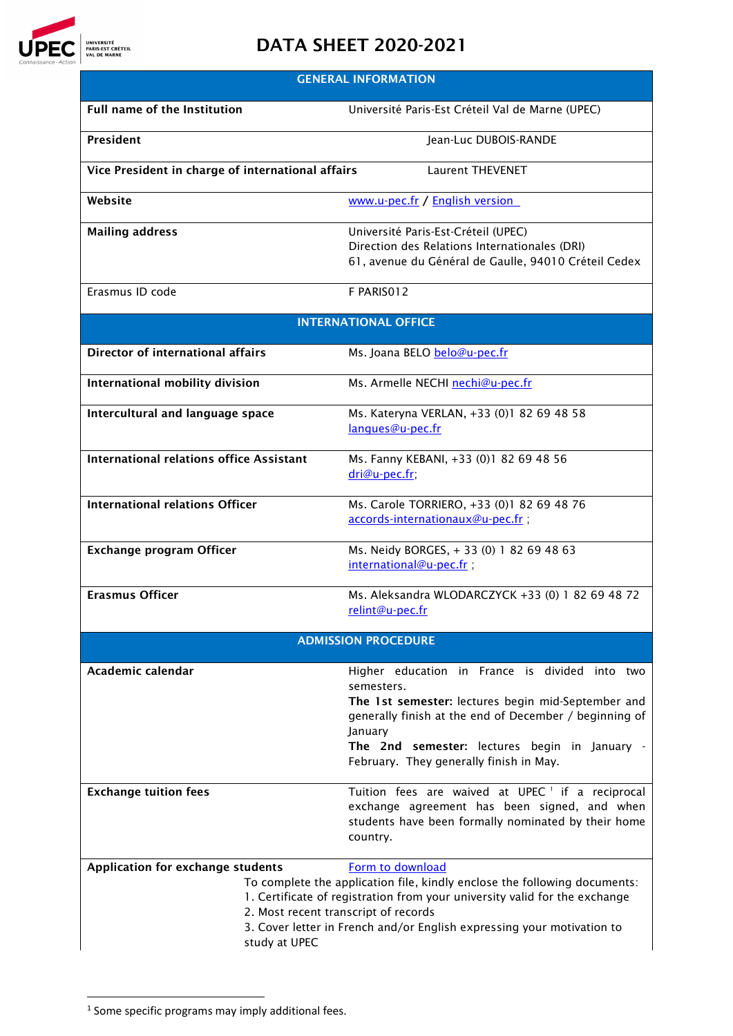

## DATA SHEET 2020-2021

| <b>GENERAL INFORMATION</b>                                                                                                                                                                                                                                                                                                                          |                                                                                                                                                                                                                                                                                     |  |  |  |
|-----------------------------------------------------------------------------------------------------------------------------------------------------------------------------------------------------------------------------------------------------------------------------------------------------------------------------------------------------|-------------------------------------------------------------------------------------------------------------------------------------------------------------------------------------------------------------------------------------------------------------------------------------|--|--|--|
| <b>Full name of the Institution</b>                                                                                                                                                                                                                                                                                                                 | Université Paris-Est Créteil Val de Marne (UPEC)                                                                                                                                                                                                                                    |  |  |  |
| President                                                                                                                                                                                                                                                                                                                                           | Jean-Luc DUBOIS-RANDE                                                                                                                                                                                                                                                               |  |  |  |
| Vice President in charge of international affairs                                                                                                                                                                                                                                                                                                   | <b>Laurent THEVENET</b>                                                                                                                                                                                                                                                             |  |  |  |
| Website                                                                                                                                                                                                                                                                                                                                             | www.u-pec.fr / English version                                                                                                                                                                                                                                                      |  |  |  |
| <b>Mailing address</b>                                                                                                                                                                                                                                                                                                                              | Université Paris-Est-Créteil (UPEC)<br>Direction des Relations Internationales (DRI)<br>61, avenue du Général de Gaulle, 94010 Créteil Cedex                                                                                                                                        |  |  |  |
| Erasmus ID code                                                                                                                                                                                                                                                                                                                                     | F PARISO12                                                                                                                                                                                                                                                                          |  |  |  |
| <b>INTERNATIONAL OFFICE</b>                                                                                                                                                                                                                                                                                                                         |                                                                                                                                                                                                                                                                                     |  |  |  |
| <b>Director of international affairs</b>                                                                                                                                                                                                                                                                                                            | Ms. Joana BELO belo@u-pec.fr                                                                                                                                                                                                                                                        |  |  |  |
| International mobility division                                                                                                                                                                                                                                                                                                                     | Ms. Armelle NECHI nechi@u-pec.fr                                                                                                                                                                                                                                                    |  |  |  |
| Intercultural and language space                                                                                                                                                                                                                                                                                                                    | Ms. Kateryna VERLAN, +33 (0)1 82 69 48 58<br>langues@u-pec.fr                                                                                                                                                                                                                       |  |  |  |
| <b>International relations office Assistant</b>                                                                                                                                                                                                                                                                                                     | Ms. Fanny KEBANI, +33 (0)1 82 69 48 56<br>dri@u-pec.fr;                                                                                                                                                                                                                             |  |  |  |
| <b>International relations Officer</b>                                                                                                                                                                                                                                                                                                              | Ms. Carole TORRIERO, +33 (0)1 82 69 48 76<br>accords-internationaux@u-pec.fr;                                                                                                                                                                                                       |  |  |  |
| <b>Exchange program Officer</b>                                                                                                                                                                                                                                                                                                                     | Ms. Neidy BORGES, +33 (0) 182 69 48 63<br>international@u-pec.fr;                                                                                                                                                                                                                   |  |  |  |
| <b>Erasmus Officer</b>                                                                                                                                                                                                                                                                                                                              | Ms. Aleksandra WLODARCZYCK +33 (0) 1 82 69 48 72<br>relint@u-pec.fr                                                                                                                                                                                                                 |  |  |  |
| <b>ADMISSION PROCEDURE</b>                                                                                                                                                                                                                                                                                                                          |                                                                                                                                                                                                                                                                                     |  |  |  |
| Academic calendar                                                                                                                                                                                                                                                                                                                                   | Higher education in France is divided into two<br>semesters.<br>The 1st semester: lectures begin mid-September and<br>generally finish at the end of December / beginning of<br>January<br>The 2nd semester: lectures begin in January -<br>February. They generally finish in May. |  |  |  |
| <b>Exchange tuition fees</b>                                                                                                                                                                                                                                                                                                                        | Tuition fees are waived at UPEC <sup>1</sup> if a reciprocal<br>exchange agreement has been signed, and when<br>students have been formally nominated by their home<br>country.                                                                                                     |  |  |  |
| Application for exchange students<br>Form to download<br>To complete the application file, kindly enclose the following documents:<br>1. Certificate of registration from your university valid for the exchange<br>2. Most recent transcript of records<br>3. Cover letter in French and/or English expressing your motivation to<br>study at UPEC |                                                                                                                                                                                                                                                                                     |  |  |  |

<span id="page-0-0"></span> $1$  Some specific programs may imply additional fees.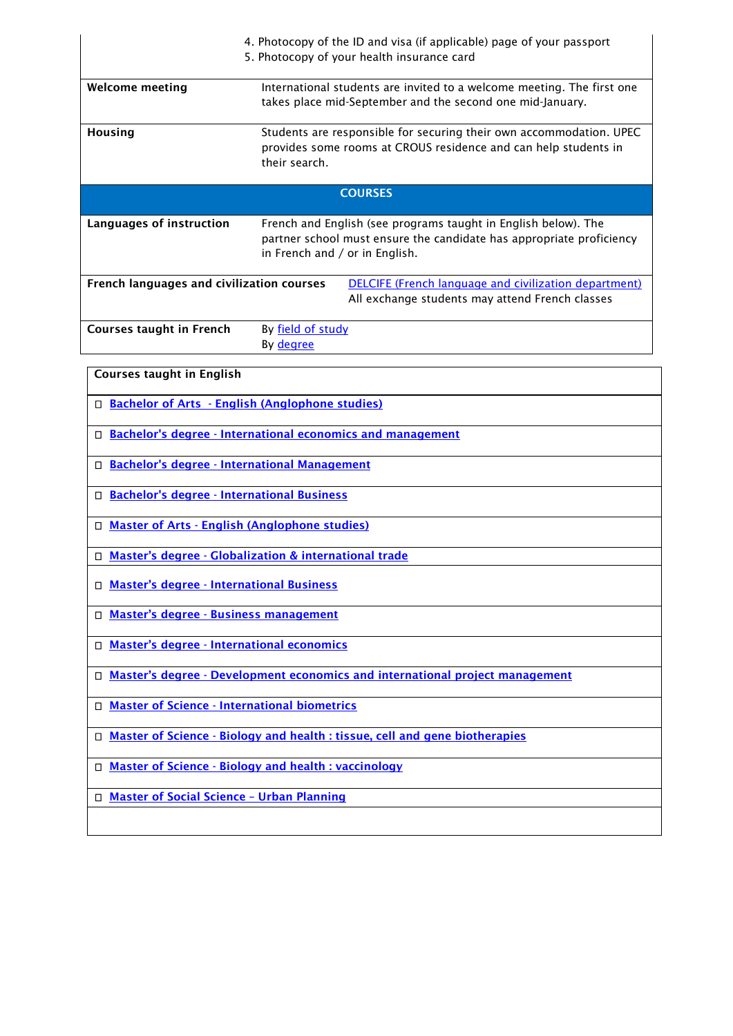|                                                                                                                                                              | 4. Photocopy of the ID and visa (if applicable) page of your passport<br>5. Photocopy of your health insurance card                                                      |  |
|--------------------------------------------------------------------------------------------------------------------------------------------------------------|--------------------------------------------------------------------------------------------------------------------------------------------------------------------------|--|
| <b>Welcome meeting</b>                                                                                                                                       | International students are invited to a welcome meeting. The first one<br>takes place mid-September and the second one mid-January.                                      |  |
| Housing                                                                                                                                                      | Students are responsible for securing their own accommodation. UPEC<br>provides some rooms at CROUS residence and can help students in<br>their search.                  |  |
| <b>COURSES</b>                                                                                                                                               |                                                                                                                                                                          |  |
| Languages of instruction                                                                                                                                     | French and English (see programs taught in English below). The<br>partner school must ensure the candidate has appropriate proficiency<br>in French and / or in English. |  |
| <b>DELCIFE (French language and civilization department)</b><br>French languages and civilization courses<br>All exchange students may attend French classes |                                                                                                                                                                          |  |
| <b>Courses taught in French</b>                                                                                                                              | By field of study<br>By degree                                                                                                                                           |  |
| <b>Courses taught in English</b>                                                                                                                             |                                                                                                                                                                          |  |
| □ Bachelor of Arts - English (Anglophone studies)                                                                                                            |                                                                                                                                                                          |  |

- □ Bachelor's degree [International economics and management](http://www.en.u-pec.fr/bachelor-s-degree-international-economics-management-618254.kjsp?RH=1399969328746)
- □ Bachelor's degree [International Management](http://www.en.u-pec.fr/bachelor-s-degree-international-management-699055.kjsp?RH=1399969328746)
- □ Bachelor's degree [International Business](http://www.en.u-pec.fr/bachelor-s-degree-international-business-699056.kjsp?RH=1399969328746)
- Master of Arts [English \(Anglophone studies\)](http://www.en.u-pec.fr/master-of-arts-ma-anglophone-studies-699243.kjsp?RH=1399969328746)
- □ Master's degree Globalization & international trade
- □ Master's degree [International Business](http://www.en.u-pec.fr/master-s-degree-international-business-678347.kjsp?RH=1399969328746)
- □ Master's degree [Business management](http://www.en.u-pec.fr/master-s-degree-business-management-imbm--618258.kjsp?RH=1399969328746)
- □ Master's degree International economics
- □ Master's degree [Development economics and international project management](http://www.en.u-pec.fr/master-deipm-developpement-economics-and-international-project-management--618381.kjsp?RH=1399969328746)
- □ Master of Science [International biometrics](http://www.en.u-pec.fr/master-of-science-msc-international-biometrics-618255.kjsp?RH=1399969328746)
- □ Master of Science [Biology and health : tissue, cell and gene biotherapies](http://www.en.u-pec.fr/master-of-science-msc-biology-health-tissue-cell-gene-biotherapies-618377.kjsp?RH=1399969328746)
- □ Master of Science [Biology and health : vaccinology](http://www.en.u-pec.fr/master-of-science-biology-health-vaccinology-684187.kjsp?RH=1399969328746)
- □ Master of Social Science Urban Planning